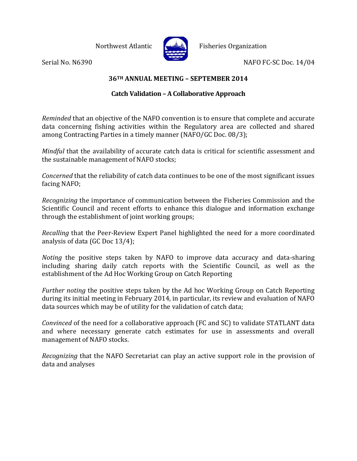

Northwest Atlantic  $\left| \bigcup_{k=1}^{\infty} \mathbb{R}^k \right|$  Fisheries Organization

Serial No. N6390 NAFO FC-SC Doc. 14/04

**36TH ANNUAL MEETING – SEPTEMBER 2014**

## **Catch Validation – A Collaborative Approach**

*Reminded* that an objective of the NAFO convention is to ensure that complete and accurate data concerning fishing activities within the Regulatory area are collected and shared among Contracting Parties in a timely manner (NAFO/GC Doc. 08/3);

*Mindful* that the availability of accurate catch data is critical for scientific assessment and the sustainable management of NAFO stocks;

*Concerned* that the reliability of catch data continues to be one of the most significant issues facing NAFO;

*Recognizing* the importance of communication between the Fisheries Commission and the Scientific Council and recent efforts to enhance this dialogue and information exchange through the establishment of joint working groups;

*Recalling* that the Peer-Review Expert Panel highlighted the need for a more coordinated analysis of data (GC Doc 13/4);

*Noting* the positive steps taken by NAFO to improve data accuracy and data-sharing including sharing daily catch reports with the Scientific Council, as well as the establishment of the Ad Hoc Working Group on Catch Reporting

*Further noting* the positive steps taken by the Ad hoc Working Group on Catch Reporting during its initial meeting in February 2014, in particular, its review and evaluation of NAFO data sources which may be of utility for the validation of catch data;

*Convinced* of the need for a collaborative approach (FC and SC) to validate STATLANT data and where necessary generate catch estimates for use in assessments and overall management of NAFO stocks.

*Recognizing* that the NAFO Secretariat can play an active support role in the provision of data and analyses